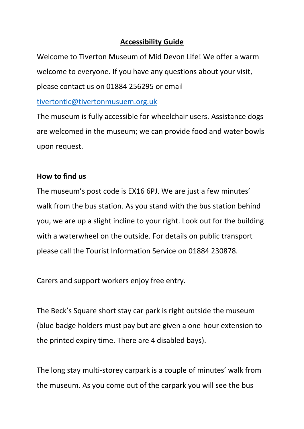### **Accessibility Guide**

Welcome to Tiverton Museum of Mid Devon Life! We offer a warm welcome to everyone. If you have any questions about your visit, please contact us on 01884 256295 or email

[tivertontic@tivertonmusuem.org.uk](mailto:tivertontic@tivertonmusuem.org.uk)

The museum is fully accessible for wheelchair users. Assistance dogs are welcomed in the museum; we can provide food and water bowls upon request.

# **How to find us**

The museum's post code is EX16 6PJ. We are just a few minutes' walk from the bus station. As you stand with the bus station behind you, we are up a slight incline to your right. Look out for the building with a waterwheel on the outside. For details on public transport please call the Tourist Information Service on 01884 230878.

Carers and support workers enjoy free entry.

The Beck's Square short stay car park is right outside the museum (blue badge holders must pay but are given a one-hour extension to the printed expiry time. There are 4 disabled bays).

The long stay multi-storey carpark is a couple of minutes' walk from the museum. As you come out of the carpark you will see the bus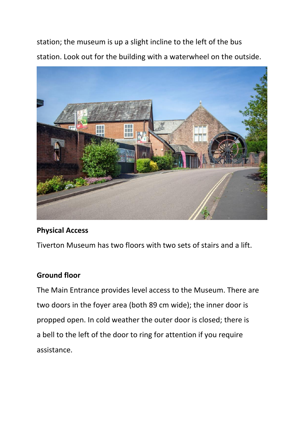station; the museum is up a slight incline to the left of the bus station. Look out for the building with a waterwheel on the outside.



#### **Physical Access**

Tiverton Museum has two floors with two sets of stairs and a lift.

### **Ground floor**

The Main Entrance provides level access to the Museum. There are two doors in the foyer area (both 89 cm wide); the inner door is propped open. In cold weather the outer door is closed; there is a bell to the left of the door to ring for attention if you require assistance.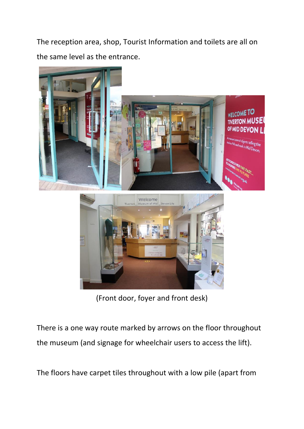The reception area, shop, Tourist Information and toilets are all on the same level as the entrance.



(Front door, foyer and front desk)

There is a one way route marked by arrows on the floor throughout the museum (and signage for wheelchair users to access the lift).

The floors have carpet tiles throughout with a low pile (apart from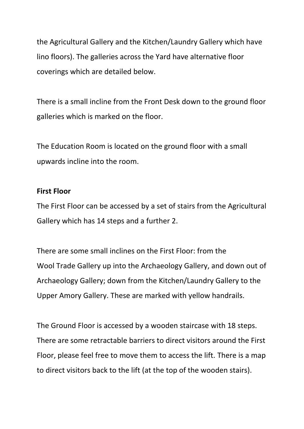the Agricultural Gallery and the Kitchen/Laundry Gallery which have lino floors). The galleries across the Yard have alternative floor coverings which are detailed below.

There is a small incline from the Front Desk down to the ground floor galleries which is marked on the floor.

The Education Room is located on the ground floor with a small upwards incline into the room.

#### **First Floor**

The First Floor can be accessed by a set of stairs from the Agricultural Gallery which has 14 steps and a further 2.

There are some small inclines on the First Floor: from the Wool Trade Gallery up into the Archaeology Gallery, and down out of Archaeology Gallery; down from the Kitchen/Laundry Gallery to the Upper Amory Gallery. These are marked with yellow handrails.

The Ground Floor is accessed by a wooden staircase with 18 steps. There are some retractable barriers to direct visitors around the First Floor, please feel free to move them to access the lift. There is a map to direct visitors back to the lift (at the top of the wooden stairs).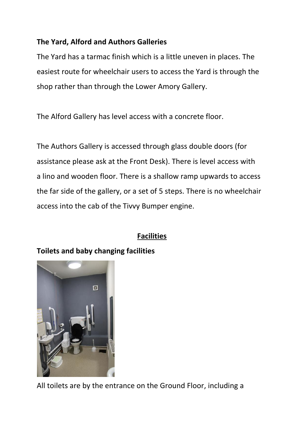# **The Yard, Alford and Authors Galleries**

The Yard has a tarmac finish which is a little uneven in places. The easiest route for wheelchair users to access the Yard is through the shop rather than through the Lower Amory Gallery.

The Alford Gallery has level access with a concrete floor.

The Authors Gallery is accessed through glass double doors (for assistance please ask at the Front Desk). There is level access with a lino and wooden floor. There is a shallow ramp upwards to access the far side of the gallery, or a set of 5 steps. There is no wheelchair access into the cab of the Tivvy Bumper engine.

# **Facilities**

# **Toilets and baby changing facilities**



All toilets are by the entrance on the Ground Floor, including a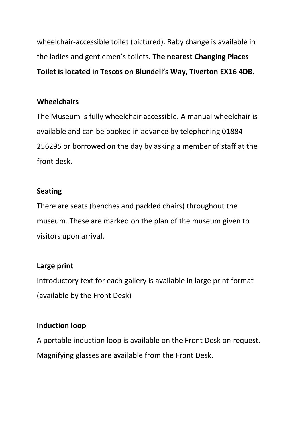wheelchair-accessible toilet (pictured). Baby change is available in the ladies and gentlemen's toilets. **The nearest Changing Places Toilet is located in Tescos on Blundell's Way, Tiverton EX16 4DB.**

## **Wheelchairs**

The Museum is fully wheelchair accessible. A manual wheelchair is available and can be booked in advance by telephoning 01884 256295 or borrowed on the day by asking a member of staff at the front desk.

### **Seating**

There are seats (benches and padded chairs) throughout the museum. These are marked on the plan of the museum given to visitors upon arrival.

### **Large print**

Introductory text for each gallery is available in large print format (available by the Front Desk)

### **Induction loop**

A portable induction loop is available on the Front Desk on request. Magnifying glasses are available from the Front Desk.